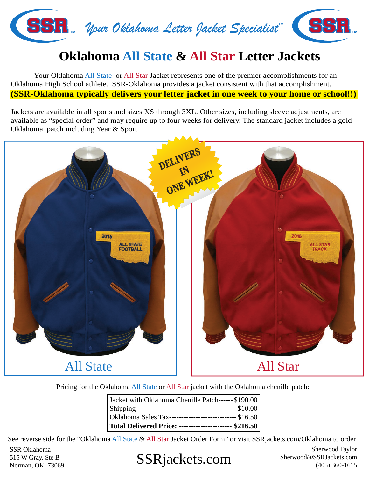

## **Oklahoma All State & All Star Letter Jackets**

 Your Oklahoma All State or All Star Jacket represents one of the premier accomplishments for an Oklahoma High School athlete. SSR-Oklahoma provides a jacket consistent with that accomplishment. **(SSR-Oklahoma typically delivers your letter jacket in one week to your home or school!!)**

Jackets are available in all sports and sizes XS through 3XL. Other sizes, including sleeve adjustments, are available as "special order" and may require up to four weeks for delivery. The standard jacket includes a gold Oklahoma patch including Year & Sport.



Pricing for the Oklahoma All State or All Star jacket with the Oklahoma chenille patch:

| Jacket with Oklahoma Chenille Patch------ \$190.00     |
|--------------------------------------------------------|
|                                                        |
|                                                        |
| Total Delivered Price: ---------------------- \$216.50 |

See reverse side for the "Oklahoma All State & All Star Jacket Order Form" or visit SSRjackets.com/Oklahoma to order

SSR Oklahoma 515 W Gray, Ste B Norman, OK 73069

# SSRjackets.com Sherwood@SSRJackets.com (405) 360-1615

Sherwood Taylor